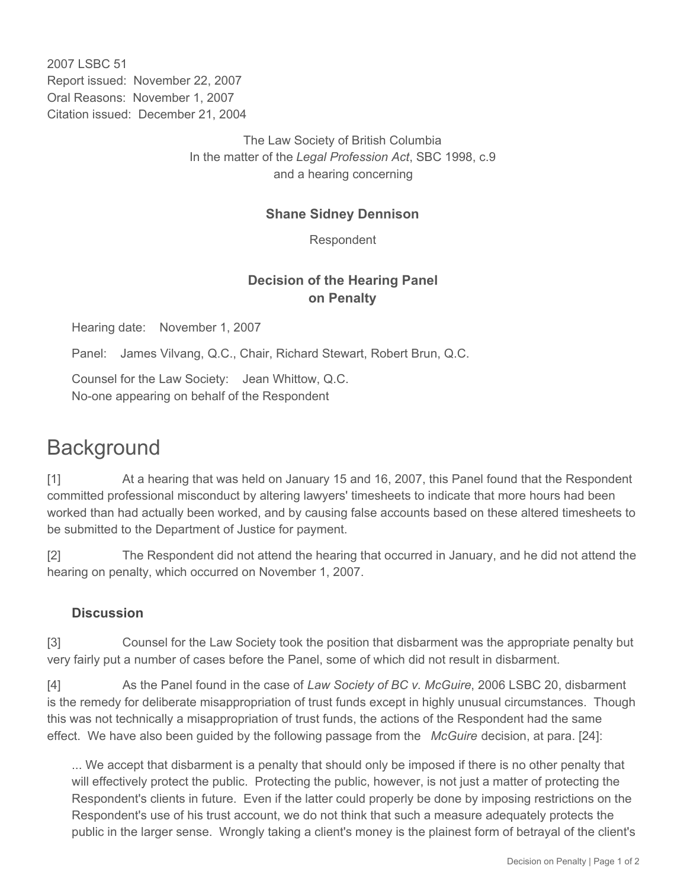2007 LSBC 51 Report issued: November 22, 2007 Oral Reasons: November 1, 2007 Citation issued: December 21, 2004

> The Law Society of British Columbia In the matter of the *Legal Profession Act*, SBC 1998, c.9 and a hearing concerning

#### **Shane Sidney Dennison**

Respondent

## **Decision of the Hearing Panel on Penalty**

Hearing date: November 1, 2007

Panel: James Vilvang, Q.C., Chair, Richard Stewart, Robert Brun, Q.C.

Counsel for the Law Society: Jean Whittow, Q.C. No-one appearing on behalf of the Respondent

# **Background**

[1] At a hearing that was held on January 15 and 16, 2007, this Panel found that the Respondent committed professional misconduct by altering lawyers' timesheets to indicate that more hours had been worked than had actually been worked, and by causing false accounts based on these altered timesheets to be submitted to the Department of Justice for payment.

[2] The Respondent did not attend the hearing that occurred in January, and he did not attend the hearing on penalty, which occurred on November 1, 2007.

### **Discussion**

[3] Counsel for the Law Society took the position that disbarment was the appropriate penalty but very fairly put a number of cases before the Panel, some of which did not result in disbarment.

[4] As the Panel found in the case of *Law Society of BC v. McGuire*, 2006 LSBC 20, disbarment is the remedy for deliberate misappropriation of trust funds except in highly unusual circumstances. Though this was not technically a misappropriation of trust funds, the actions of the Respondent had the same effect. We have also been guided by the following passage from the *McGuire* decision, at para. [24]:

... We accept that disbarment is a penalty that should only be imposed if there is no other penalty that will effectively protect the public. Protecting the public, however, is not just a matter of protecting the Respondent's clients in future. Even if the latter could properly be done by imposing restrictions on the Respondent's use of his trust account, we do not think that such a measure adequately protects the public in the larger sense. Wrongly taking a client's money is the plainest form of betrayal of the client's